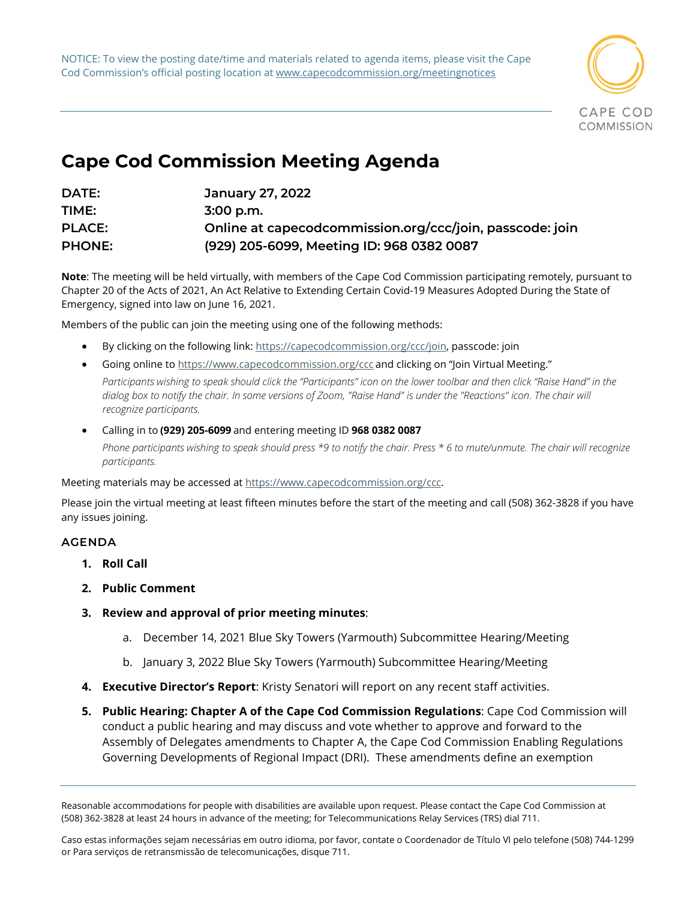NOTICE: To view the posting date/time and materials related to agenda items, please visit the Cape Cod Commission's official posting location at www.capecodcommission.org/meetingnotices



## **Cape Cod Commission Meeting Agenda**

| DATE:         | January 27, 2022                                         |
|---------------|----------------------------------------------------------|
| TIME:         | $3:00$ p.m.                                              |
| <b>PLACE:</b> | Online at capecodcommission.org/ccc/join, passcode: join |
| <b>PHONE:</b> | (929) 205-6099, Meeting ID: 968 0382 0087                |

**Note**: The meeting will be held virtually, with members of the Cape Cod Commission participating remotely, pursuant to Chapter 20 of the Acts of 2021, An Act Relative to Extending Certain Covid-19 Measures Adopted During the State of Emergency, signed into law on June 16, 2021.

Members of the public can join the meeting using one of the following methods:   

- By clicking on the following link: [https://capecodcommission.org/ccc/join,](https://capecodcommission.org/ccc/join) passcode: join
- Going online to <https://www.capecodcommission.org/ccc> and clicking on "Join Virtual Meeting." Participants wishing to speak should click the "Participants" icon on the lower toolbar and then click "Raise Hand" in the dialog box to notify the chair. In some versions of Zoom, "Raise Hand" is under the "Reactions" icon. The chair will
- Calling in to **(929) 205-6099** and entering meeting ID **968 0382 0087** Phone participants wishing to speak should press \*9 to notify the chair. Press \* 6 to mute/unmute. The chair will recognize *participants.*

Meeting materials may be accessed at [https://www.capecodcommission.org/ccc.](https://www.capecodcommission.org/ccc)

Please join the virtual meeting at least fifteen minutes before the start of the meeting and call (508) 362-3828 if you have any issues joining.  

## **AGENDA**

- **1. Roll Call**
- **2. Public Comment**

*recognize participants.*

- **3. Review and approval of prior meeting minutes**:
	- a. December 14, 2021 Blue Sky Towers (Yarmouth) Subcommittee Hearing/Meeting
	- b. January 3, 2022 Blue Sky Towers (Yarmouth) Subcommittee Hearing/Meeting
- **4. Executive Director's Report**: Kristy Senatori will report on any recent staff activities.
- **5. Public Hearing: Chapter A of the Cape Cod Commission Regulations**: Cape Cod Commission will conduct a public hearing and may discuss and vote whether to approve and forward to the Assembly of Delegates amendments to Chapter A, the Cape Cod Commission Enabling Regulations Governing Developments of Regional Impact (DRI). These amendments define an exemption

Reasonable accommodations for people with disabilities are available upon request. Please contact the Cape Cod Commission at (508) 362-3828 at least 24 hours in advance of the meeting; for Telecommunications Relay Services (TRS) dial 711.

Caso estas informações sejam necessárias em outro idioma, por favor, contate o Coordenador de Título VI pelo telefone (508) 744-1299 or Para serviços de retransmissão de telecomunicações, disque 711.